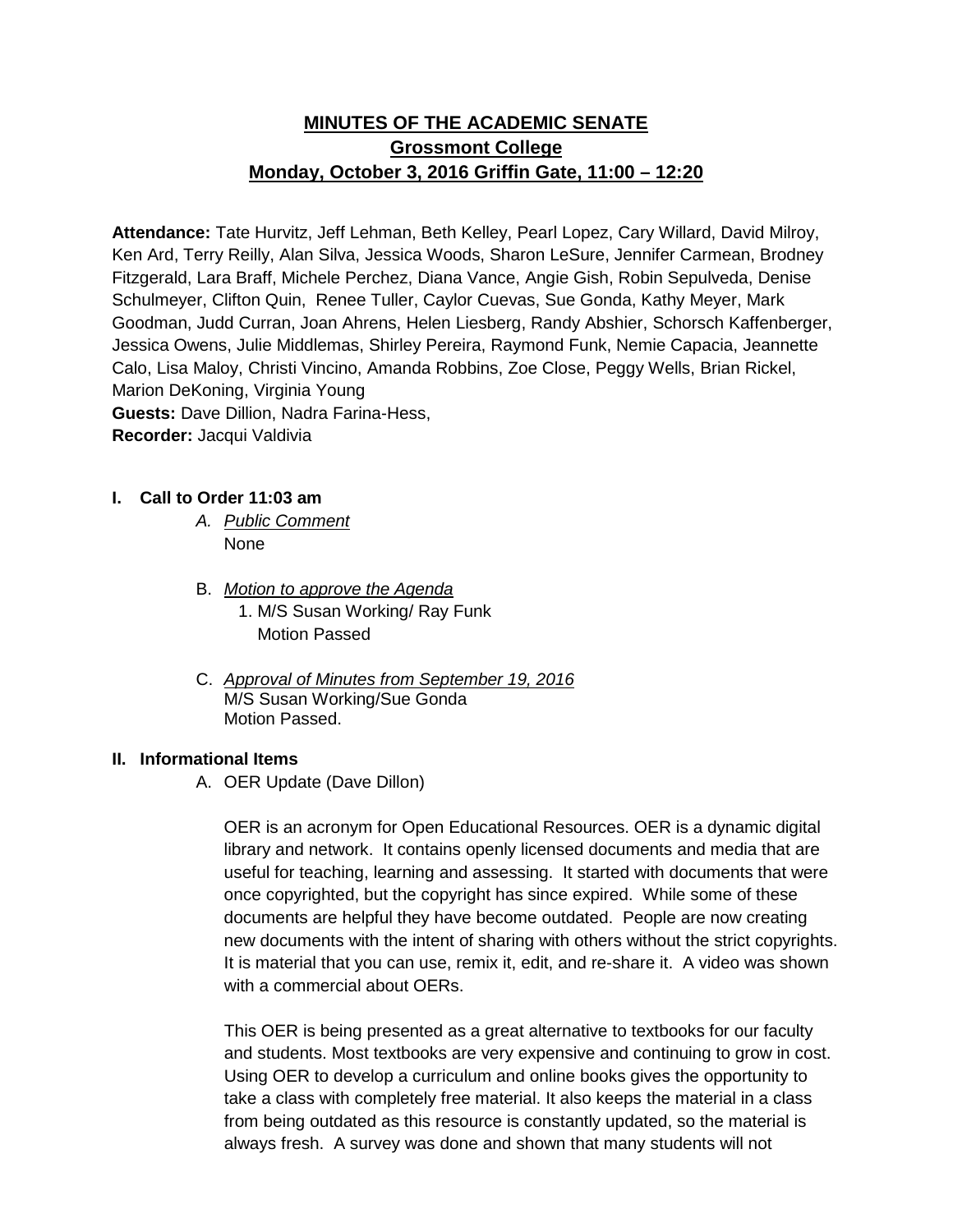# **MINUTES OF THE ACADEMIC SENATE Grossmont College Monday, October 3, 2016 Griffin Gate, 11:00 – 12:20**

**Attendance:** Tate Hurvitz, Jeff Lehman, Beth Kelley, Pearl Lopez, Cary Willard, David Milroy, Ken Ard, Terry Reilly, Alan Silva, Jessica Woods, Sharon LeSure, Jennifer Carmean, Brodney Fitzgerald, Lara Braff, Michele Perchez, Diana Vance, Angie Gish, Robin Sepulveda, Denise Schulmeyer, Clifton Quin, Renee Tuller, Caylor Cuevas, Sue Gonda, Kathy Meyer, Mark Goodman, Judd Curran, Joan Ahrens, Helen Liesberg, Randy Abshier, Schorsch Kaffenberger, Jessica Owens, Julie Middlemas, Shirley Pereira, Raymond Funk, Nemie Capacia, Jeannette Calo, Lisa Maloy, Christi Vincino, Amanda Robbins, Zoe Close, Peggy Wells, Brian Rickel, Marion DeKoning, Virginia Young **Guests:** Dave Dillion, Nadra Farina-Hess, **Recorder:** Jacqui Valdivia

# **I. Call to Order 11:03 am**

- *A. Public Comment*  None
- B. *Motion to approve the Agenda* 1. M/S Susan Working/ Ray Funk Motion Passed
- C. *Approval of Minutes from September 19, 2016* M/S Susan Working/Sue Gonda Motion Passed.

#### **II. Informational Items**

A. OER Update (Dave Dillon)

OER is an acronym for Open Educational Resources. OER is a dynamic digital library and network. It contains openly licensed documents and media that are useful for teaching, learning and assessing. It started with documents that were once copyrighted, but the copyright has since expired. While some of these documents are helpful they have become outdated. People are now creating new documents with the intent of sharing with others without the strict copyrights. It is material that you can use, remix it, edit, and re-share it. A video was shown with a commercial about OERs.

This OER is being presented as a great alternative to textbooks for our faculty and students. Most textbooks are very expensive and continuing to grow in cost. Using OER to develop a curriculum and online books gives the opportunity to take a class with completely free material. It also keeps the material in a class from being outdated as this resource is constantly updated, so the material is always fresh. A survey was done and shown that many students will not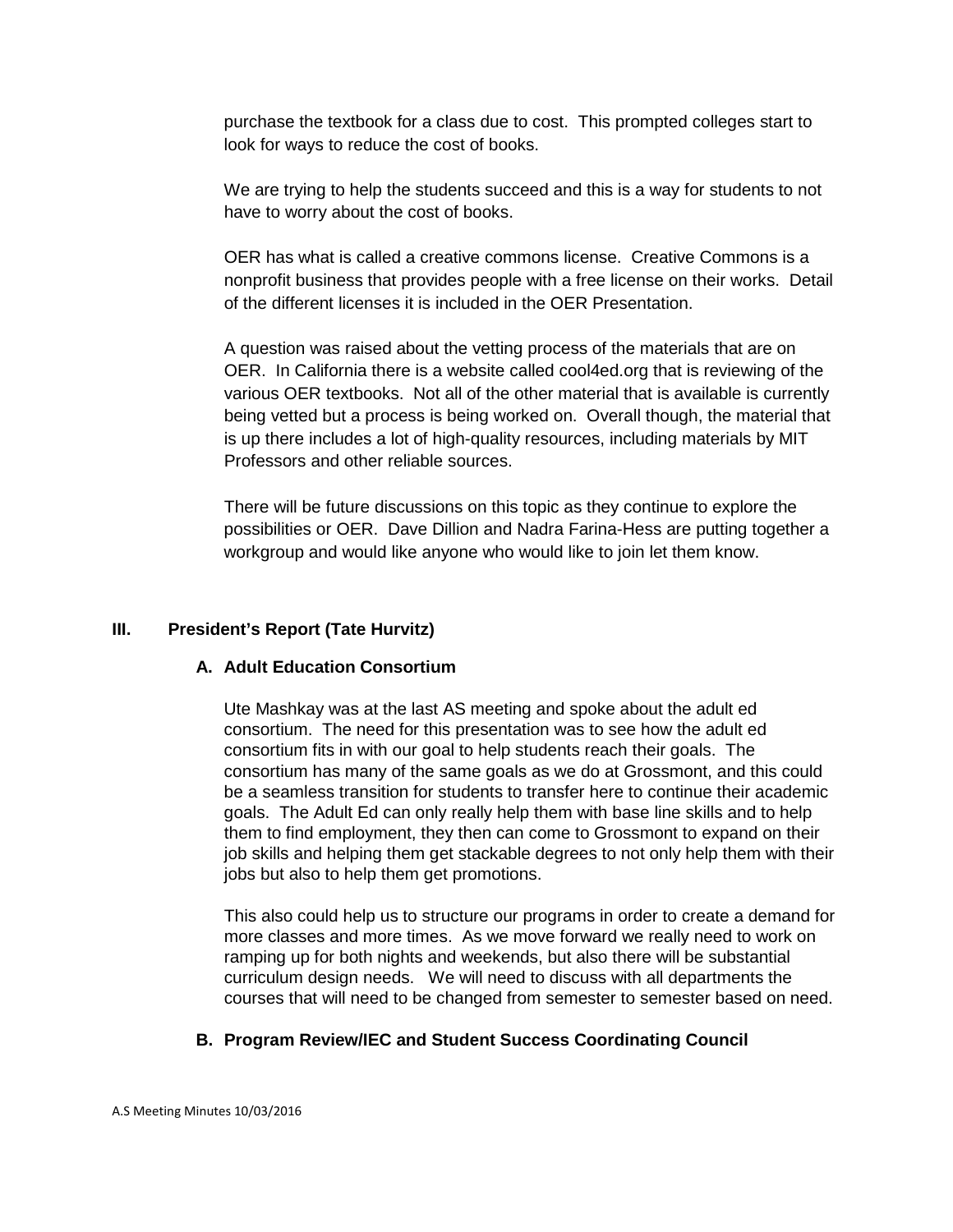purchase the textbook for a class due to cost. This prompted colleges start to look for ways to reduce the cost of books.

We are trying to help the students succeed and this is a way for students to not have to worry about the cost of books.

OER has what is called a creative commons license. Creative Commons is a nonprofit business that provides people with a free license on their works. Detail of the different licenses it is included in the OER Presentation.

A question was raised about the vetting process of the materials that are on OER. In California there is a website called cool4ed.org that is reviewing of the various OER textbooks. Not all of the other material that is available is currently being vetted but a process is being worked on. Overall though, the material that is up there includes a lot of high-quality resources, including materials by MIT Professors and other reliable sources.

There will be future discussions on this topic as they continue to explore the possibilities or OER. Dave Dillion and Nadra Farina-Hess are putting together a workgroup and would like anyone who would like to join let them know.

# **III. President's Report (Tate Hurvitz)**

# **A. Adult Education Consortium**

Ute Mashkay was at the last AS meeting and spoke about the adult ed consortium. The need for this presentation was to see how the adult ed consortium fits in with our goal to help students reach their goals. The consortium has many of the same goals as we do at Grossmont, and this could be a seamless transition for students to transfer here to continue their academic goals. The Adult Ed can only really help them with base line skills and to help them to find employment, they then can come to Grossmont to expand on their job skills and helping them get stackable degrees to not only help them with their jobs but also to help them get promotions.

This also could help us to structure our programs in order to create a demand for more classes and more times. As we move forward we really need to work on ramping up for both nights and weekends, but also there will be substantial curriculum design needs. We will need to discuss with all departments the courses that will need to be changed from semester to semester based on need.

# **B. Program Review/IEC and Student Success Coordinating Council**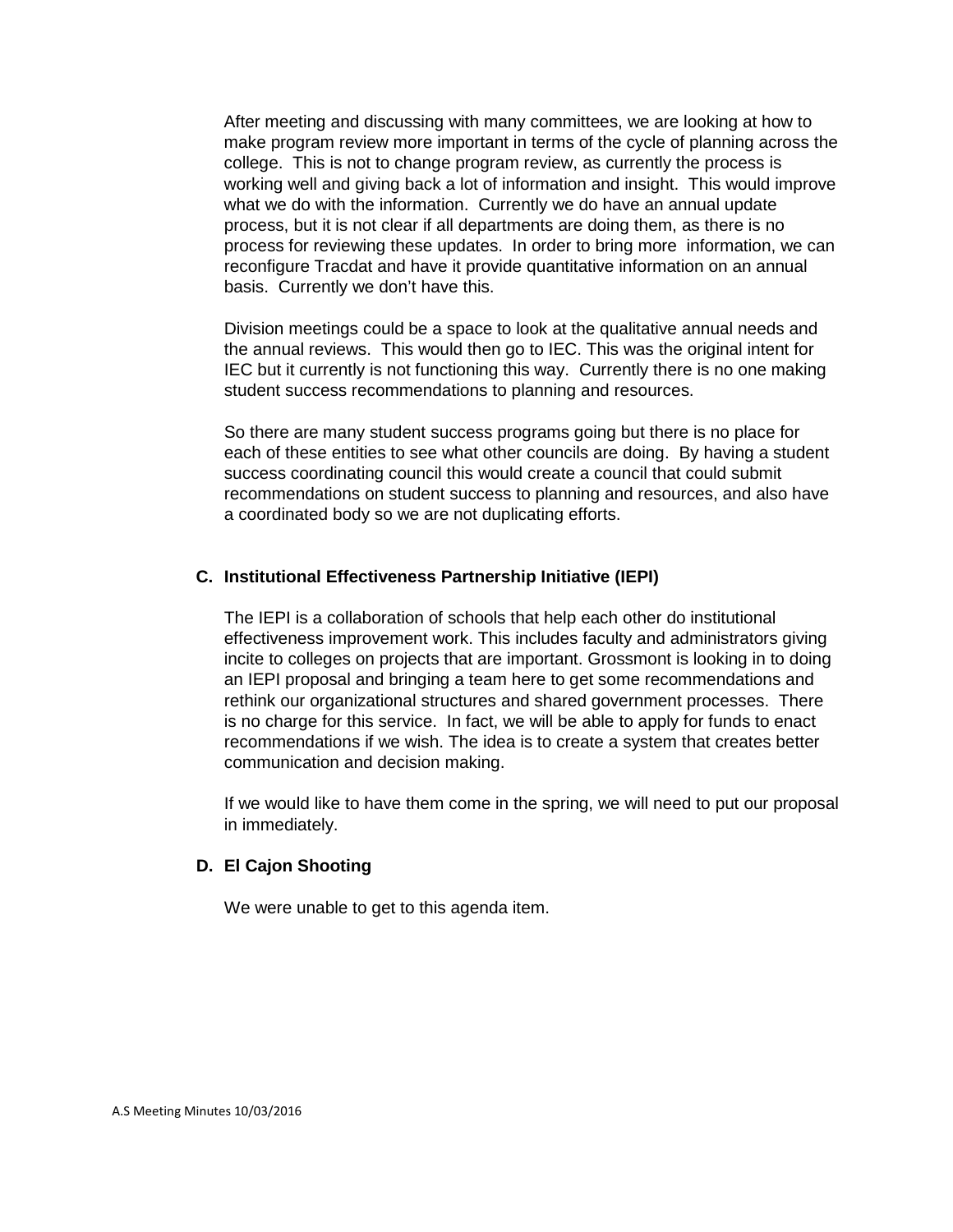After meeting and discussing with many committees, we are looking at how to make program review more important in terms of the cycle of planning across the college. This is not to change program review, as currently the process is working well and giving back a lot of information and insight. This would improve what we do with the information. Currently we do have an annual update process, but it is not clear if all departments are doing them, as there is no process for reviewing these updates. In order to bring more information, we can reconfigure Tracdat and have it provide quantitative information on an annual basis. Currently we don't have this.

Division meetings could be a space to look at the qualitative annual needs and the annual reviews. This would then go to IEC. This was the original intent for IEC but it currently is not functioning this way. Currently there is no one making student success recommendations to planning and resources.

So there are many student success programs going but there is no place for each of these entities to see what other councils are doing. By having a student success coordinating council this would create a council that could submit recommendations on student success to planning and resources, and also have a coordinated body so we are not duplicating efforts.

#### **C. Institutional Effectiveness Partnership Initiative (IEPI)**

The IEPI is a collaboration of schools that help each other do institutional effectiveness improvement work. This includes faculty and administrators giving incite to colleges on projects that are important. Grossmont is looking in to doing an IEPI proposal and bringing a team here to get some recommendations and rethink our organizational structures and shared government processes. There is no charge for this service. In fact, we will be able to apply for funds to enact recommendations if we wish. The idea is to create a system that creates better communication and decision making.

If we would like to have them come in the spring, we will need to put our proposal in immediately.

#### **D. El Cajon Shooting**

We were unable to get to this agenda item.